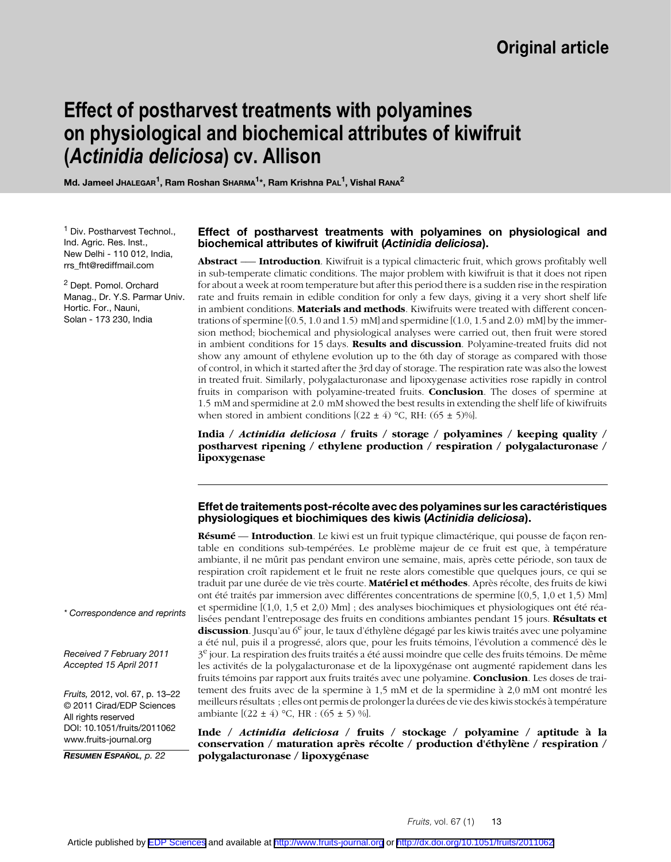# **Effect of postharvest treatments with polyamines on physiological and biochemical attributes of kiwifruit (***Actinidia deliciosa***) cv. Allison**

Md. Jameel JHALEGAR<sup>1</sup>, Ram Roshan SHARMA<sup>1\*</sup>, Ram Krishna PAL<sup>1</sup>, Vishal RANA<sup>2</sup>

<sup>1</sup> Div. Postharvest Technol., Ind. Agric. Res. Inst., New Delhi - 110 012, India, rrs\_fht@rediffmail.com

<sup>2</sup> Dept. Pomol. Orchard Manag., Dr. Y.S. Parmar Univ. Hortic. For., Nauni, Solan - 173 230, India

### **Effect of postharvest treatments with polyamines on physiological and biochemical attributes of kiwifruit (***Actinidia deliciosa***).**

**Abstract** –— **Introduction**. Kiwifruit is a typical climacteric fruit, which grows profitably well in sub-temperate climatic conditions. The major problem with kiwifruit is that it does not ripen for about a week at room temperature but after this period there is a sudden rise in the respiration rate and fruits remain in edible condition for only a few days, giving it a very short shelf life in ambient conditions. **Materials and methods**. Kiwifruits were treated with different concentrations of spermine  $[(0.5, 1.0 \text{ and } 1.5) \text{ mM}]$  and spermidine  $[(1.0, 1.5 \text{ and } 2.0) \text{ mM}]$  by the immersion method; biochemical and physiological analyses were carried out, then fruit were stored in ambient conditions for 15 days. **Results and discussion**. Polyamine-treated fruits did not show any amount of ethylene evolution up to the 6th day of storage as compared with those of control, in which it started after the 3rd day of storage. The respiration rate was also the lowest in treated fruit. Similarly, polygalacturonase and lipoxygenase activities rose rapidly in control fruits in comparison with polyamine-treated fruits. **Conclusion**. The doses of spermine at 1.5 mM and spermidine at 2.0 mM showed the best results in extending the shelf life of kiwifruits when stored in ambient conditions  $[(22 \pm 4) °C, RH: (65 \pm 5)%]$ .

**India /** *Actinidia deliciosa* **/ fruits / storage / polyamines / keeping quality / postharvest ripening / ethylene production / respiration / polygalacturonase / lipoxygenase**

### **Effet de traitements post-récolte avec des polyamines sur les caractéristiques physiologiques et biochimiques des kiwis (***Actinidia deliciosa***).**

**Résumé** — **Introduction**. Le kiwi est un fruit typique climactérique, qui pousse de façon rentable en conditions sub-tempérées. Le problème majeur de ce fruit est que, à température ambiante, il ne mûrit pas pendant environ une semaine, mais, après cette période, son taux de respiration croît rapidement et le fruit ne reste alors comestible que quelques jours, ce qui se traduit par une durée de vie très courte. **Matériel et méthodes**. Après récolte, des fruits de kiwi ont été traités par immersion avec différentes concentrations de spermine [(0,5, 1,0 et 1,5) Mm] et spermidine [(1,0, 1,5 et 2,0) Mm] ; des analyses biochimiques et physiologiques ont été réalisées pendant l'entreposage des fruits en conditions ambiantes pendant 15 jours. **Résultats et discussion**. Jusqu'au 6<sup>e</sup> jour, le taux d'éthylène dégagé par les kiwis traités avec une polyamine a été nul, puis il a progressé, alors que, pour les fruits témoins, l'évolution a commencé dès le  $3<sup>e</sup>$  jour. La respiration des fruits traités a été aussi moindre que celle des fruits témoins. De même les activités de la polygalacturonase et de la lipoxygénase ont augmenté rapidement dans les fruits témoins par rapport aux fruits traités avec une polyamine. **Conclusion**. Les doses de traitement des fruits avec de la spermine à 1,5 mM et de la spermidine à 2,0 mM ont montré les meilleurs résultats ; elles ont permis de prolonger la durées de vie des kiwis stockés à température ambiante  $[(22 \pm 4) °C, HR : (65 \pm 5) %].$ 

**Inde /** *Actinidia deliciosa* **/ fruits / stockage / polyamine / aptitude à la conservation / maturation après récolte / production d'éthylène / respiration / polygalacturonase / lipoxygénase**

#### *\* Correspondence and reprints*

*Received 7 February 2011 Accepted 15 April 2011*

*Fruits,* 2012, vol. 67, p. 13–22 © 2011 Cirad/EDP Sciences All rights reserved DOI: 10.1051/fruits/2011062 www.fruits-journal.org

*RESUMEN ESPAÑOL, p. 22*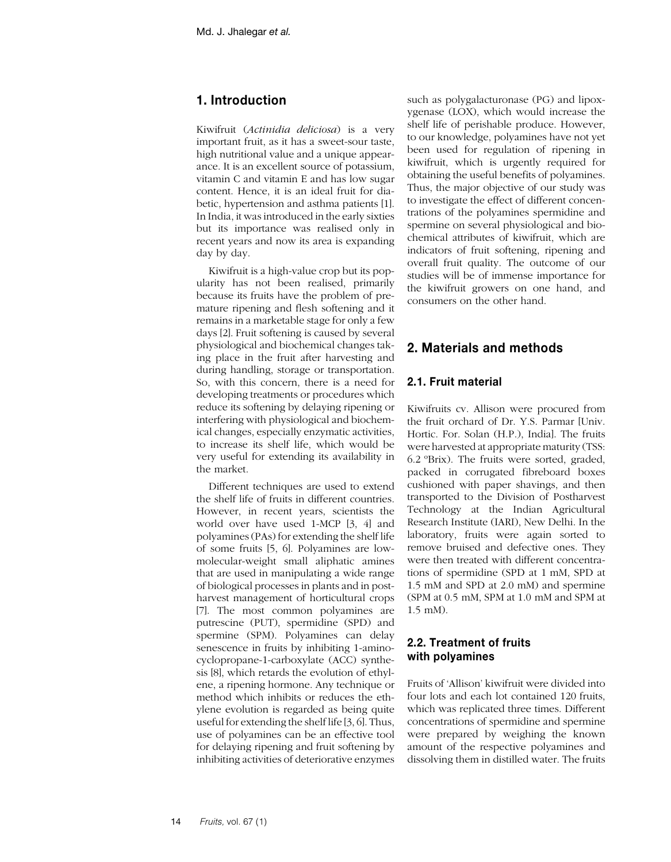# **1. Introduction**

Kiwifruit (*Actinidia deliciosa*) is a very important fruit, as it has a sweet-sour taste, high nutritional value and a unique appearance. It is an excellent source of potassium, vitamin C and vitamin E and has low sugar content. Hence, it is an ideal fruit for diabetic, hypertension and asthma patients [1]. In India, it was introduced in the early sixties but its importance was realised only in recent years and now its area is expanding day by day.

Kiwifruit is a high-value crop but its popularity has not been realised, primarily because its fruits have the problem of premature ripening and flesh softening and it remains in a marketable stage for only a few days [2]. Fruit softening is caused by several physiological and biochemical changes taking place in the fruit after harvesting and during handling, storage or transportation. So, with this concern, there is a need for developing treatments or procedures which reduce its softening by delaying ripening or interfering with physiological and biochemical changes, especially enzymatic activities, to increase its shelf life, which would be very useful for extending its availability in the market.

Different techniques are used to extend the shelf life of fruits in different countries. However, in recent years, scientists the world over have used 1-MCP [3, 4] and polyamines (PAs) for extending the shelf life of some fruits [5, 6]. Polyamines are lowmolecular-weight small aliphatic amines that are used in manipulating a wide range of biological processes in plants and in postharvest management of horticultural crops [7]. The most common polyamines are putrescine (PUT), spermidine (SPD) and spermine (SPM). Polyamines can delay senescence in fruits by inhibiting 1-aminocyclopropane-1-carboxylate (ACC) synthesis [8], which retards the evolution of ethylene, a ripening hormone. Any technique or method which inhibits or reduces the ethylene evolution is regarded as being quite useful for extending the shelf life [3, 6]. Thus, use of polyamines can be an effective tool for delaying ripening and fruit softening by inhibiting activities of deteriorative enzymes

such as polygalacturonase (PG) and lipoxygenase (LOX), which would increase the shelf life of perishable produce. However, to our knowledge, polyamines have not yet been used for regulation of ripening in kiwifruit, which is urgently required for obtaining the useful benefits of polyamines. Thus, the major objective of our study was to investigate the effect of different concentrations of the polyamines spermidine and spermine on several physiological and biochemical attributes of kiwifruit, which are indicators of fruit softening, ripening and overall fruit quality. The outcome of our studies will be of immense importance for the kiwifruit growers on one hand, and consumers on the other hand.

# **2. Materials and methods**

### **2.1. Fruit material**

Kiwifruits cv. Allison were procured from the fruit orchard of Dr. Y.S. Parmar [Univ. Hortic. For. Solan (H.P.), India]. The fruits were harvested at appropriate maturity (TSS: 6.2 ºBrix). The fruits were sorted, graded, packed in corrugated fibreboard boxes cushioned with paper shavings, and then transported to the Division of Postharvest Technology at the Indian Agricultural Research Institute (IARI), New Delhi. In the laboratory, fruits were again sorted to remove bruised and defective ones. They were then treated with different concentrations of spermidine (SPD at 1 mM, SPD at 1.5 mM and SPD at 2.0 mM) and spermine (SPM at 0.5 mM, SPM at 1.0 mM and SPM at 1.5 mM).

# **2.2. Treatment of fruits with polyamines**

Fruits of 'Allison' kiwifruit were divided into four lots and each lot contained 120 fruits, which was replicated three times. Different concentrations of spermidine and spermine were prepared by weighing the known amount of the respective polyamines and dissolving them in distilled water. The fruits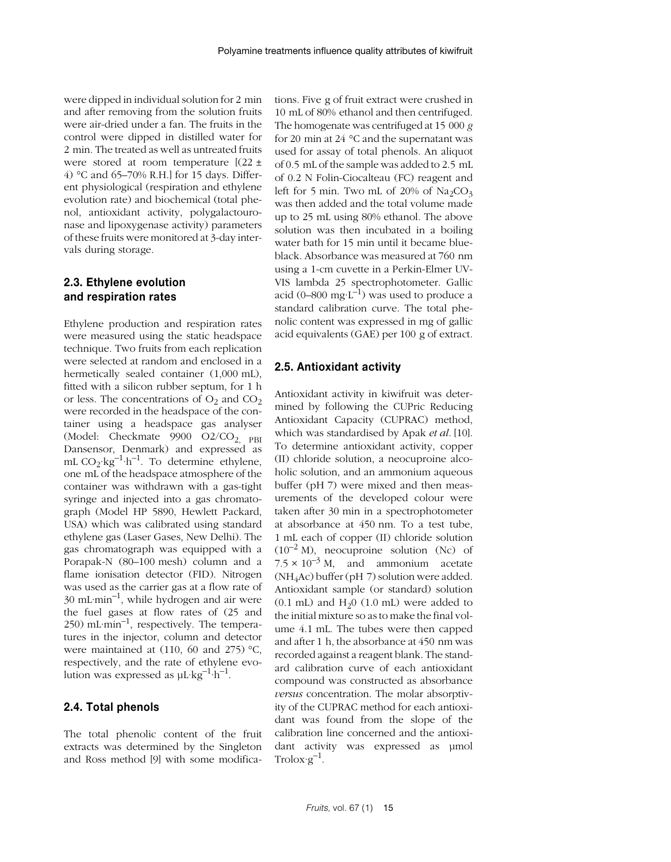were dipped in individual solution for 2 min and after removing from the solution fruits were air-dried under a fan. The fruits in the control were dipped in distilled water for 2 min. The treated as well as untreated fruits were stored at room temperature [(22 ± 4) °C and 65–70% R.H.] for 15 days. Different physiological (respiration and ethylene evolution rate) and biochemical (total phenol, antioxidant activity, polygalactouronase and lipoxygenase activity) parameters of these fruits were monitored at 3-day intervals during storage.

# **2.3. Ethylene evolution and respiration rates**

Ethylene production and respiration rates were measured using the static headspace technique. Two fruits from each replication were selected at random and enclosed in a hermetically sealed container (1,000 mL), fitted with a silicon rubber septum, for 1 h or less. The concentrations of  $O_2$  and  $CO_2$ were recorded in the headspace of the container using a headspace gas analyser (Model: Checkmate  $9900$  O2/CO<sub>2, PBI</sub> Dansensor, Denmark) and expressed as mL  $CO_2$ ·kg<sup>-1</sup>·h<sup>-1</sup>. To determine ethylene, one mL of the headspace atmosphere of the container was withdrawn with a gas-tight syringe and injected into a gas chromatograph (Model HP 5890, Hewlett Packard, USA) which was calibrated using standard ethylene gas (Laser Gases, New Delhi). The gas chromatograph was equipped with a Porapak-N (80–100 mesh) column and a flame ionisation detector (FID). Nitrogen was used as the carrier gas at a flow rate of  $30 \text{ mL-min}^{-1}$ , while hydrogen and air were the fuel gases at flow rates of (25 and 250) mL $\cdot$ min<sup>-1</sup>, respectively. The temperatures in the injector, column and detector were maintained at (110, 60 and 275) °C, respectively, and the rate of ethylene evolution was expressed as  $uL \nvert kg^{-1} \nvert h^{-1}$ .

#### **2.4. Total phenols**

The total phenolic content of the fruit extracts was determined by the Singleton and Ross method [9] with some modifications. Five g of fruit extract were crushed in 10 mL of 80% ethanol and then centrifuged. The homogenate was centrifuged at 15 000 *g* for 20 min at 24 °C and the supernatant was used for assay of total phenols. An aliquot of 0.5 mL of the sample was added to 2.5 mL of 0.2 N Folin-Ciocalteau (FC) reagent and left for 5 min. Two mL of 20% of  $\text{Na}_2\text{CO}_3$ was then added and the total volume made up to 25 mL using 80% ethanol. The above solution was then incubated in a boiling water bath for 15 min until it became blueblack. Absorbance was measured at 760 nm using a 1-cm cuvette in a Perkin-Elmer UV-VIS lambda 25 spectrophotometer. Gallic acid (0–800 mg·L<sup>-1</sup>) was used to produce a standard calibration curve. The total phenolic content was expressed in mg of gallic acid equivalents (GAE) per 100 g of extract.

### **2.5. Antioxidant activity**

Antioxidant activity in kiwifruit was determined by following the CUPric Reducing Antioxidant Capacity (CUPRAC) method, which was standardised by Apak *et al.* [10]. To determine antioxidant activity, copper (II) chloride solution, a neocuproine alcoholic solution, and an ammonium aqueous buffer (pH 7) were mixed and then measurements of the developed colour were taken after 30 min in a spectrophotometer at absorbance at 450 nm. To a test tube, 1 mL each of copper (II) chloride solution  $(10^{-2} \text{ M})$ , neocuproine solution (Nc) of  $7.5 \times 10^{-3}$  M, and ammonium acetate  $(NH_4$ Ac) buffer (pH 7) solution were added. Antioxidant sample (or standard) solution  $(0.1$  mL) and  $H<sub>2</sub>0$   $(1.0$  mL) were added to the initial mixture so as to make the final volume 4.1 mL. The tubes were then capped and after 1 h, the absorbance at 450 nm was recorded against a reagent blank. The standard calibration curve of each antioxidant compound was constructed as absorbance *versus* concentration. The molar absorptivity of the CUPRAC method for each antioxidant was found from the slope of the calibration line concerned and the antioxidant activity was expressed as umol  $Trolox·g^{-1}$ .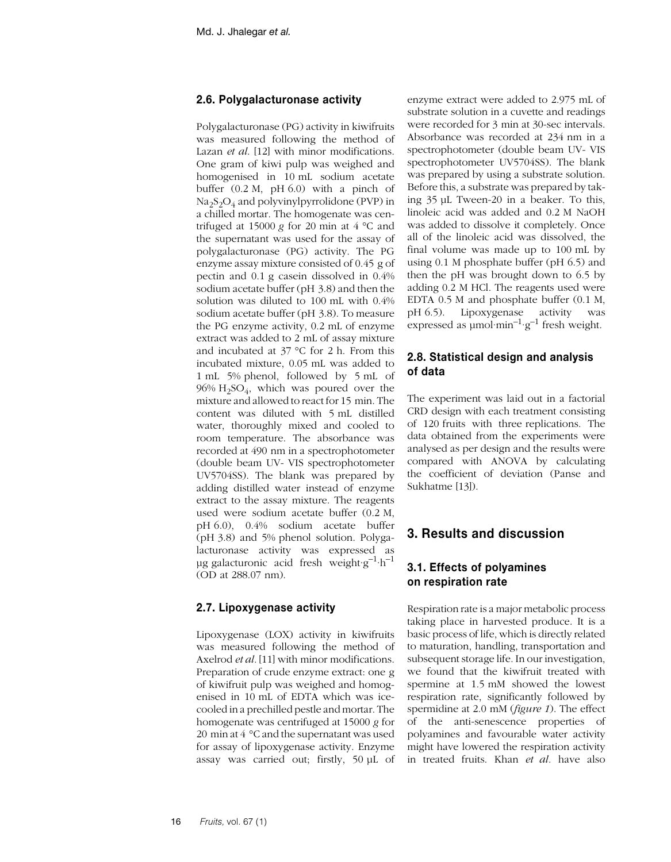### **2.6. Polygalacturonase activity**

Polygalacturonase (PG) activity in kiwifruits was measured following the method of Lazan *et al*. [12] with minor modifications. One gram of kiwi pulp was weighed and homogenised in 10 mL sodium acetate buffer  $(0.2 M, pH 6.0)$  with a pinch of Na2S2O4 and polyvinylpyrrolidone (PVP) in a chilled mortar. The homogenate was centrifuged at 15000  $g$  for 20 min at  $4^{\circ}$ C and the supernatant was used for the assay of polygalacturonase (PG) activity. The PG enzyme assay mixture consisted of 0.45 g of pectin and 0.1 g casein dissolved in 0.4% sodium acetate buffer (pH 3.8) and then the solution was diluted to 100 mL with 0.4% sodium acetate buffer (pH 3.8). To measure the PG enzyme activity, 0.2 mL of enzyme extract was added to 2 mL of assay mixture and incubated at 37 °C for 2 h. From this incubated mixture, 0.05 mL was added to 1 mL 5% phenol, followed by 5 mL of  $96\%$  H<sub>2</sub>SO<sub>4</sub>, which was poured over the mixture and allowed to react for 15 min. The content was diluted with 5 mL distilled water, thoroughly mixed and cooled to room temperature. The absorbance was recorded at 490 nm in a spectrophotometer (double beam UV- VIS spectrophotometer UV5704SS). The blank was prepared by adding distilled water instead of enzyme extract to the assay mixture. The reagents used were sodium acetate buffer (0.2 M, pH 6.0), 0.4% sodium acetate buffer (pH 3.8) and 5% phenol solution. Polygalacturonase activity was expressed as  $\mu$ g galacturonic acid fresh weight·g<sup>-1</sup>·h<sup>-1</sup> (OD at 288.07 nm).

# **2.7. Lipoxygenase activity**

Lipoxygenase (LOX) activity in kiwifruits was measured following the method of Axelrod *et al.* [11] with minor modifications. Preparation of crude enzyme extract: one g of kiwifruit pulp was weighed and homogenised in 10 mL of EDTA which was icecooled in a prechilled pestle and mortar. The homogenate was centrifuged at 15000 *g* for 20 min at 4 °C and the supernatant was used for assay of lipoxygenase activity. Enzyme assay was carried out; firstly, 50 µL of

enzyme extract were added to 2.975 mL of substrate solution in a cuvette and readings were recorded for 3 min at 30-sec intervals. Absorbance was recorded at 234 nm in a spectrophotometer (double beam UV- VIS spectrophotometer UV5704SS). The blank was prepared by using a substrate solution. Before this, a substrate was prepared by taking 35 µL Tween-20 in a beaker. To this, linoleic acid was added and 0.2 M NaOH was added to dissolve it completely. Once all of the linoleic acid was dissolved, the final volume was made up to 100 mL by using 0.1 M phosphate buffer (pH 6.5) and then the pH was brought down to 6.5 by adding 0.2 M HCl. The reagents used were EDTA 0.5 M and phosphate buffer (0.1 M, pH 6.5). Lipoxygenase activity was expressed as  $\mu$ mol·min<sup>-1</sup>·g<sup>-1</sup> fresh weight.

# **2.8. Statistical design and analysis of data**

The experiment was laid out in a factorial CRD design with each treatment consisting of 120 fruits with three replications. The data obtained from the experiments were analysed as per design and the results were compared with ANOVA by calculating the coefficient of deviation (Panse and Sukhatme [13]).

# **3. Results and discussion**

# **3.1. Effects of polyamines on respiration rate**

Respiration rate is a major metabolic process taking place in harvested produce. It is a basic process of life, which is directly related to maturation, handling, transportation and subsequent storage life. In our investigation, we found that the kiwifruit treated with spermine at 1.5 mM showed the lowest respiration rate, significantly followed by spermidine at 2.0 mM (*figure 1*). The effect of the anti-senescence properties of polyamines and favourable water activity might have lowered the respiration activity in treated fruits. Khan *et al.* have also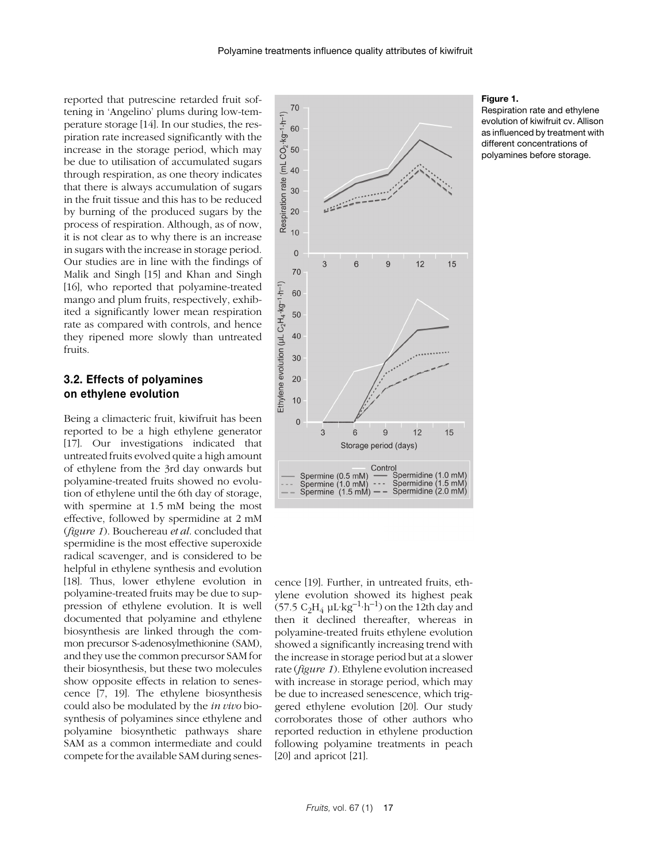reported that putrescine retarded fruit softening in 'Angelino' plums during low-temperature storage [14]. In our studies, the respiration rate increased significantly with the increase in the storage period, which may be due to utilisation of accumulated sugars through respiration, as one theory indicates that there is always accumulation of sugars in the fruit tissue and this has to be reduced by burning of the produced sugars by the process of respiration. Although, as of now, it is not clear as to why there is an increase in sugars with the increase in storage period. Our studies are in line with the findings of Malik and Singh [15] and Khan and Singh [16], who reported that polyamine-treated mango and plum fruits, respectively, exhibited a significantly lower mean respiration rate as compared with controls, and hence they ripened more slowly than untreated fruits.

### **3.2. Effects of polyamines on ethylene evolution**

Being a climacteric fruit, kiwifruit has been reported to be a high ethylene generator [17]. Our investigations indicated that untreated fruits evolved quite a high amount of ethylene from the 3rd day onwards but polyamine-treated fruits showed no evolution of ethylene until the 6th day of storage, with spermine at 1.5 mM being the most effective, followed by spermidine at 2 mM (*figure 1*). Bouchereau *et al*. concluded that spermidine is the most effective superoxide radical scavenger, and is considered to be helpful in ethylene synthesis and evolution [18]. Thus, lower ethylene evolution in polyamine-treated fruits may be due to suppression of ethylene evolution. It is well documented that polyamine and ethylene biosynthesis are linked through the common precursor S-adenosylmethionine (SAM), and they use the common precursor SAM for their biosynthesis, but these two molecules show opposite effects in relation to senescence [7, 19]. The ethylene biosynthesis could also be modulated by the *in vivo* biosynthesis of polyamines since ethylene and polyamine biosynthetic pathways share SAM as a common intermediate and could compete for the available SAM during senes-



cence [19]. Further, in untreated fruits, ethylene evolution showed its highest peak (57.5  $C_2H_4$  µL·kg<sup>-1</sup>·h<sup>-1</sup>) on the 12th day and then it declined thereafter, whereas in polyamine-treated fruits ethylene evolution showed a significantly increasing trend with the increase in storage period but at a slower rate (*figure 1*). Ethylene evolution increased with increase in storage period, which may be due to increased senescence, which triggered ethylene evolution [20]. Our study corroborates those of other authors who reported reduction in ethylene production following polyamine treatments in peach [20] and apricot [21].

#### **Figure 1.**

Respiration rate and ethylene evolution of kiwifruit cv. Allison as influenced by treatment with different concentrations of polyamines before storage.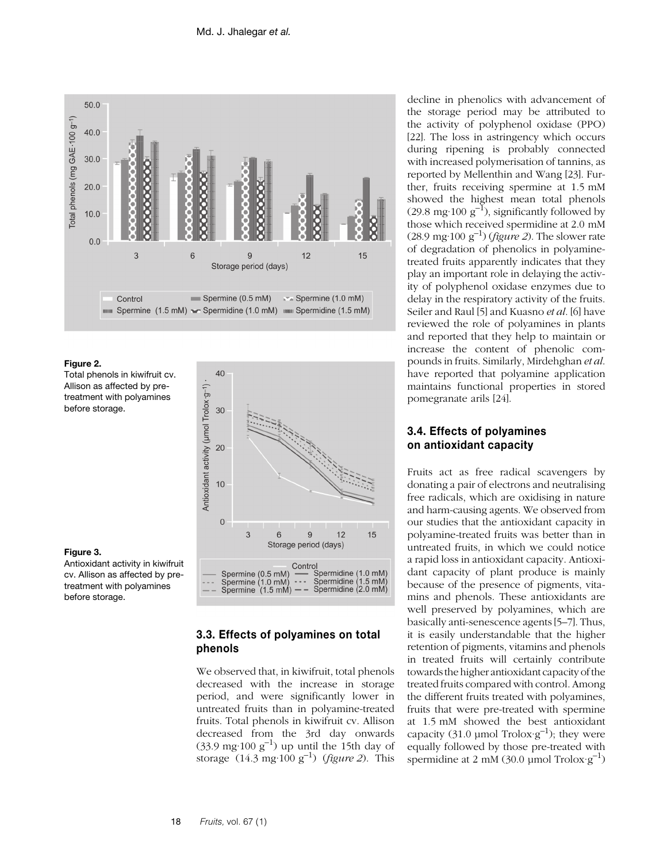

#### **Figure 2.**

**Figure 3.**

before storage.

treatment with polyamines

Total phenols in kiwifruit cv. Allison as affected by pretreatment with polyamines before storage.



### **3.3. Effects of polyamines on total phenols**

We observed that, in kiwifruit, total phenols decreased with the increase in storage period, and were significantly lower in untreated fruits than in polyamine-treated fruits. Total phenols in kiwifruit cv. Allison decreased from the 3rd day onwards  $(33.9 \text{ mg} \cdot 100 \text{ g}^{-1})$  up until the 15th day of storage (14.3 mg·100 g–1) (*figure 2*). This

decline in phenolics with advancement of the storage period may be attributed to the activity of polyphenol oxidase (PPO) [22]. The loss in astringency which occurs during ripening is probably connected with increased polymerisation of tannins, as reported by Mellenthin and Wang [23]. Further, fruits receiving spermine at 1.5 mM showed the highest mean total phenols (29.8 mg·100  $g^{-1}$ ), significantly followed by those which received spermidine at 2.0 mM (28.9 mg·100  $g^{-1}$ ) (*figure 2*). The slower rate of degradation of phenolics in polyaminetreated fruits apparently indicates that they play an important role in delaying the activity of polyphenol oxidase enzymes due to delay in the respiratory activity of the fruits. Seiler and Raul [5] and Kuasno *et al*. [6] have reviewed the role of polyamines in plants and reported that they help to maintain or increase the content of phenolic compounds in fruits. Similarly, Mirdehghan *et al*. have reported that polyamine application maintains functional properties in stored pomegranate arils [24].

# **3.4. Effects of polyamines on antioxidant capacity**

Fruits act as free radical scavengers by donating a pair of electrons and neutralising free radicals, which are oxidising in nature and harm-causing agents. We observed from our studies that the antioxidant capacity in polyamine-treated fruits was better than in untreated fruits, in which we could notice a rapid loss in antioxidant capacity. Antioxidant capacity of plant produce is mainly because of the presence of pigments, vitamins and phenols. These antioxidants are well preserved by polyamines, which are basically anti-senescence agents [5–7]. Thus, it is easily understandable that the higher retention of pigments, vitamins and phenols in treated fruits will certainly contribute towards the higher antioxidant capacity of the treated fruits compared with control. Among the different fruits treated with polyamines, fruits that were pre-treated with spermine at 1.5 mM showed the best antioxidant capacity (31.0 µmol Trolox $g^{-1}$ ); they were equally followed by those pre-treated with spermidine at 2 mM (30.0 µmol Trolox $g^{-1}$ )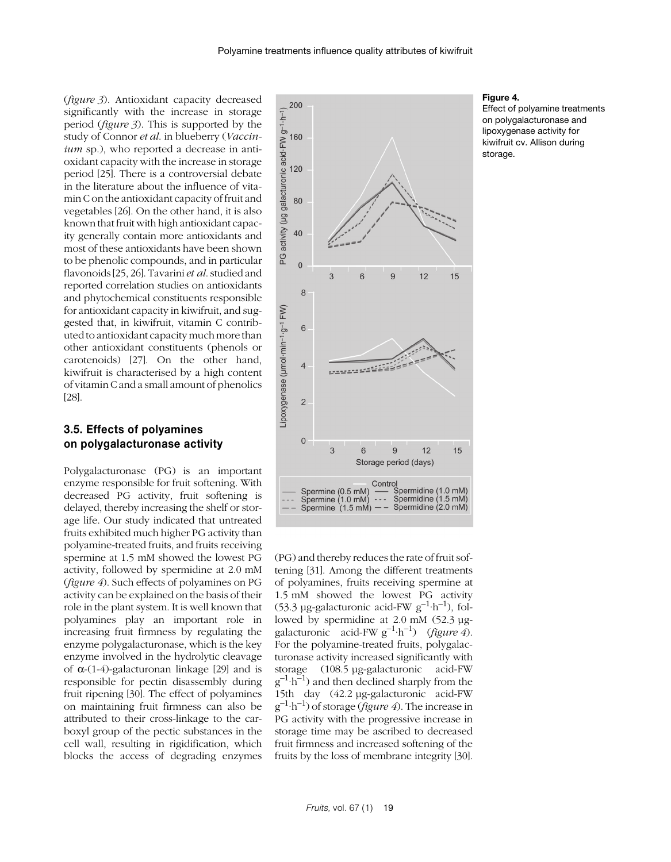(*figure 3*). Antioxidant capacity decreased significantly with the increase in storage period (*figure 3*). This is supported by the study of Connor *et al*. in blueberry (*Vaccinium* sp.), who reported a decrease in antioxidant capacity with the increase in storage period [25]. There is a controversial debate in the literature about the influence of vitamin C on the antioxidant capacity of fruit and vegetables [26]. On the other hand, it is also known that fruit with high antioxidant capacity generally contain more antioxidants and most of these antioxidants have been shown to be phenolic compounds, and in particular flavonoids [25, 26]. Tavarini *et al*. studied and reported correlation studies on antioxidants and phytochemical constituents responsible for antioxidant capacity in kiwifruit, and suggested that, in kiwifruit, vitamin C contributed to antioxidant capacity much more than other antioxidant constituents (phenols or carotenoids) [27]. On the other hand, kiwifruit is characterised by a high content of vitamin C and a small amount of phenolics [28].

### **3.5. Effects of polyamines on polygalacturonase activity**

Polygalacturonase (PG) is an important enzyme responsible for fruit softening. With decreased PG activity, fruit softening is delayed, thereby increasing the shelf or storage life. Our study indicated that untreated fruits exhibited much higher PG activity than polyamine-treated fruits, and fruits receiving spermine at 1.5 mM showed the lowest PG activity, followed by spermidine at 2.0 mM (*figure 4*). Such effects of polyamines on PG activity can be explained on the basis of their role in the plant system. It is well known that polyamines play an important role in increasing fruit firmness by regulating the enzyme polygalacturonase, which is the key enzyme involved in the hydrolytic cleavage of  $\alpha$ -(1-4)-galacturonan linkage [29] and is responsible for pectin disassembly during fruit ripening [30]. The effect of polyamines on maintaining fruit firmness can also be attributed to their cross-linkage to the carboxyl group of the pectic substances in the cell wall, resulting in rigidification, which blocks the access of degrading enzymes



(PG) and thereby reduces the rate of fruit softening [31]. Among the different treatments of polyamines, fruits receiving spermine at 1.5 mM showed the lowest PG activity (53.3 µg-galacturonic acid-FW  $g^{-1}$ ·h<sup>-1</sup>), followed by spermidine at 2.0 mM (52.3 µggalacturonic acid-FW g–1·h–1) (*figure 4*). For the polyamine-treated fruits, polygalacturonase activity increased significantly with storage (108.5 µg-galacturonic acid-FW  $g^{-1} \cdot h^{-1}$ ) and then declined sharply from the 15th day (42.2 µg-galacturonic acid-FW g–1·h–1) of storage (*figure 4*). The increase in PG activity with the progressive increase in storage time may be ascribed to decreased fruit firmness and increased softening of the fruits by the loss of membrane integrity [30].

#### **Figure 4.**

Effect of polyamine treatments on polygalacturonase and lipoxygenase activity for kiwifruit cv. Allison during storage.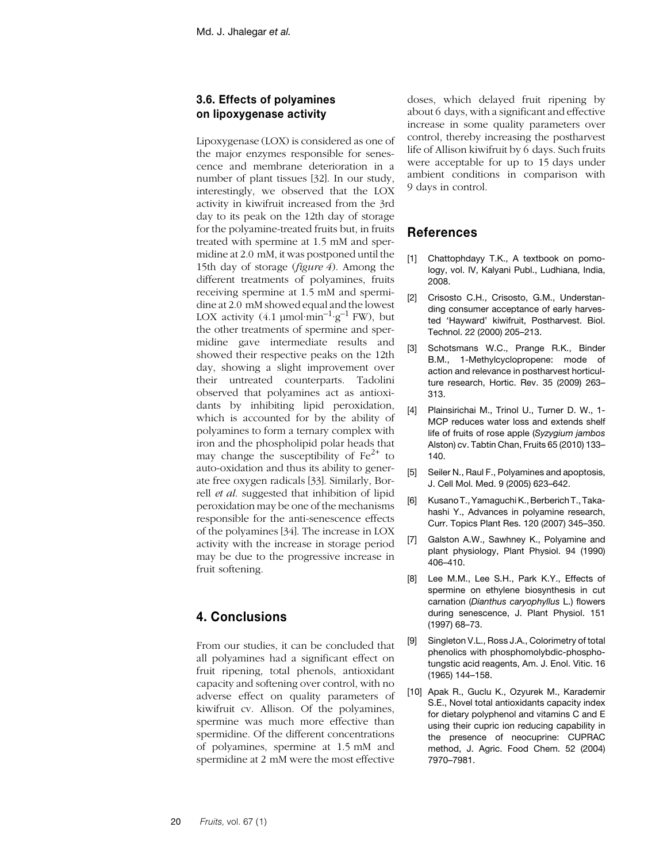# **3.6. Effects of polyamines on lipoxygenase activity**

Lipoxygenase (LOX) is considered as one of the major enzymes responsible for senescence and membrane deterioration in a number of plant tissues [32]. In our study, interestingly, we observed that the LOX activity in kiwifruit increased from the 3rd day to its peak on the 12th day of storage for the polyamine-treated fruits but, in fruits treated with spermine at 1.5 mM and spermidine at 2.0 mM, it was postponed until the 15th day of storage (*figure 4*). Among the different treatments of polyamines, fruits receiving spermine at 1.5 mM and spermidine at 2.0 mM showed equal and the lowest LOX activity  $(4.1 \text{ µmol·min}^{-1} \text{·g}^{-1} \text{FW})$ , but the other treatments of spermine and spermidine gave intermediate results and showed their respective peaks on the 12th day, showing a slight improvement over their untreated counterparts. Tadolini observed that polyamines act as antioxidants by inhibiting lipid peroxidation, which is accounted for by the ability of polyamines to form a ternary complex with iron and the phospholipid polar heads that may change the susceptibility of  $Fe^{2+}$  to auto-oxidation and thus its ability to generate free oxygen radicals [33]. Similarly, Borrell *et al*. suggested that inhibition of lipid peroxidation may be one of the mechanisms responsible for the anti-senescence effects of the polyamines [34]. The increase in LOX activity with the increase in storage period may be due to the progressive increase in fruit softening.

# **4. Conclusions**

From our studies, it can be concluded that all polyamines had a significant effect on fruit ripening, total phenols, antioxidant capacity and softening over control, with no adverse effect on quality parameters of kiwifruit cv. Allison. Of the polyamines, spermine was much more effective than spermidine. Of the different concentrations of polyamines, spermine at 1.5 mM and spermidine at 2 mM were the most effective

doses, which delayed fruit ripening by about 6 days, with a significant and effective increase in some quality parameters over control, thereby increasing the postharvest life of Allison kiwifruit by 6 days. Such fruits were acceptable for up to 15 days under ambient conditions in comparison with 9 days in control.

# **References**

- [1] Chattophdayy T.K., A textbook on pomology, vol. IV, Kalyani Publ., Ludhiana, India, 2008.
- [2] Crisosto C.H., Crisosto, G.M., Understanding consumer acceptance of early harvested 'Hayward' kiwifruit, Postharvest. Biol. Technol. 22 (2000) 205–213.
- [3] Schotsmans W.C., Prange R.K., Binder B.M., 1-Methylcyclopropene: mode of action and relevance in postharvest horticulture research, Hortic. Rev. 35 (2009) 263– 313.
- [4] Plainsirichai M., Trinol U., Turner D. W., 1-MCP reduces water loss and extends shelf life of fruits of rose apple (*Syzygium jambos* Alston) cv. Tabtin Chan, Fruits 65 (2010) 133– 140.
- [5] Seiler N., Raul F., Polyamines and apoptosis, J. Cell Mol. Med. 9 (2005) 623–642.
- [6] Kusano T., Yamaguchi K., Berberich T., Takahashi Y., Advances in polyamine research, Curr. Topics Plant Res. 120 (2007) 345–350.
- [7] Galston A.W., Sawhney K., Polyamine and plant physiology, Plant Physiol. 94 (1990) 406–410.
- [8] Lee M.M., Lee S.H., Park K.Y., Effects of spermine on ethylene biosynthesis in cut carnation (*Dianthus caryophyllus* L.) flowers during senescence, J. Plant Physiol. 151 (1997) 68–73.
- [9] Singleton V.L., Ross J.A., Colorimetry of total phenolics with phosphomolybdic-phosphotungstic acid reagents, Am. J. Enol. Vitic. 16 (1965) 144–158.
- [10] Apak R., Guclu K., Ozyurek M., Karademir S.E., Novel total antioxidants capacity index for dietary polyphenol and vitamins C and E using their cupric ion reducing capability in the presence of neocuprine: CUPRAC method, J. Agric. Food Chem. 52 (2004) 7970–7981.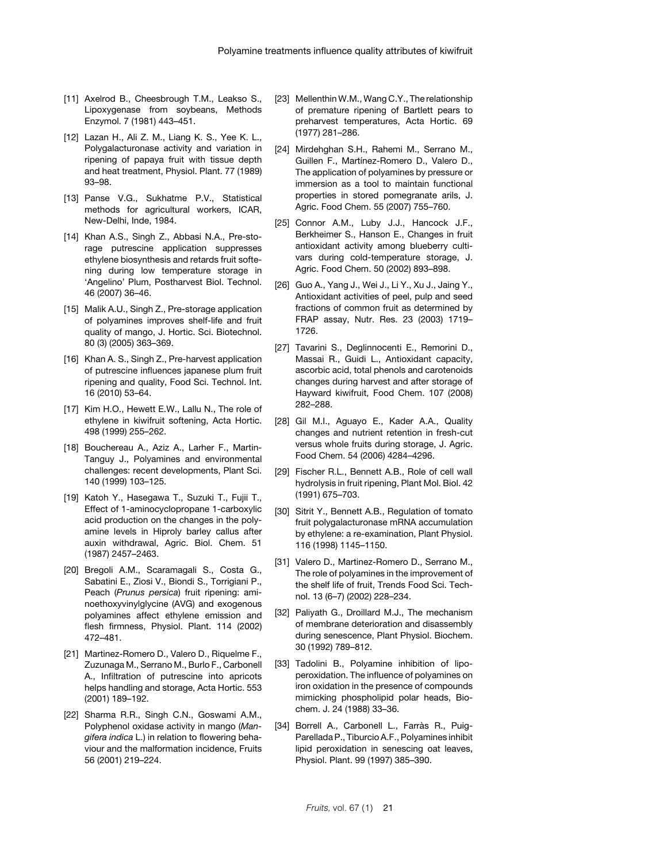- [11] Axelrod B., Cheesbrough T.M., Leakso S., Lipoxygenase from soybeans, Methods Enzymol. 7 (1981) 443–451.
- [12] Lazan H., Ali Z. M., Liang K. S., Yee K. L., Polygalacturonase activity and variation in ripening of papaya fruit with tissue depth and heat treatment, Physiol. Plant. 77 (1989) 93–98.
- [13] Panse V.G., Sukhatme P.V., Statistical methods for agricultural workers, ICAR, New-Delhi, Inde, 1984.
- [14] Khan A.S., Singh Z., Abbasi N.A., Pre-storage putrescine application suppresses ethylene biosynthesis and retards fruit softening during low temperature storage in 'Angelino' Plum, Postharvest Biol. Technol. 46 (2007) 36–46.
- [15] Malik A.U., Singh Z., Pre-storage application of polyamines improves shelf-life and fruit quality of mango, J. Hortic. Sci. Biotechnol. 80 (3) (2005) 363–369.
- [16] Khan A. S., Singh Z., Pre-harvest application of putrescine influences japanese plum fruit ripening and quality, Food Sci. Technol. Int. 16 (2010) 53–64.
- [17] Kim H.O., Hewett E.W., Lallu N., The role of ethylene in kiwifruit softening, Acta Hortic. 498 (1999) 255–262.
- [18] Bouchereau A., Aziz A., Larher F., Martin-Tanguy J., Polyamines and environmental challenges: recent developments, Plant Sci. 140 (1999) 103–125.
- [19] Katoh Y., Hasegawa T., Suzuki T., Fujii T., Effect of 1-aminocyclopropane 1-carboxylic acid production on the changes in the polyamine levels in Hiproly barley callus after auxin withdrawal, Agric. Biol. Chem. 51 (1987) 2457–2463.
- [20] Bregoli A.M., Scaramagali S., Costa G., Sabatini E., Ziosi V., Biondi S., Torrigiani P., Peach (*Prunus persica*) fruit ripening: aminoethoxyvinylglycine (AVG) and exogenous polyamines affect ethylene emission and flesh firmness, Physiol. Plant. 114 (2002) 472–481.
- [21] Martinez-Romero D., Valero D., Riquelme F., Zuzunaga M., Serrano M., Burlo F., Carbonell A., Infiltration of putrescine into apricots helps handling and storage, Acta Hortic. 553 (2001) 189–192.
- [22] Sharma R.R., Singh C.N., Goswami A.M., Polyphenol oxidase activity in mango (*Mangifera indica* L.) in relation to flowering behaviour and the malformation incidence, Fruits 56 (2001) 219–224.
- [23] Mellenthin W.M., Wang C.Y., The relationship of premature ripening of Bartlett pears to preharvest temperatures, Acta Hortic. 69 (1977) 281–286.
- [24] Mirdehghan S.H., Rahemi M., Serrano M., Guillen F., Martínez-Romero D., Valero D., The application of polyamines by pressure or immersion as a tool to maintain functional properties in stored pomegranate arils, J. Agric. Food Chem. 55 (2007) 755–760.
- [25] Connor A.M., Luby J.J., Hancock J.F., Berkheimer S., Hanson E., Changes in fruit antioxidant activity among blueberry cultivars during cold-temperature storage, J. Agric. Food Chem. 50 (2002) 893–898.
- [26] Guo A., Yang J., Wei J., Li Y., Xu J., Jaing Y., Antioxidant activities of peel, pulp and seed fractions of common fruit as determined by FRAP assay, Nutr. Res. 23 (2003) 1719– 1726.
- [27] Tavarini S., Deglinnocenti E., Remorini D., Massai R., Guidi L., Antioxidant capacity, ascorbic acid, total phenols and carotenoids changes during harvest and after storage of Hayward kiwifruit, Food Chem. 107 (2008) 282–288.
- [28] Gil M.I., Aguayo E., Kader A.A., Quality changes and nutrient retention in fresh-cut versus whole fruits during storage, J. Agric. Food Chem. 54 (2006) 4284–4296.
- [29] Fischer R.L., Bennett A.B., Role of cell wall hydrolysis in fruit ripening, Plant Mol. Biol. 42 (1991) 675–703.
- [30] Sitrit Y., Bennett A.B., Regulation of tomato fruit polygalacturonase mRNA accumulation by ethylene: a re-examination, Plant Physiol. 116 (1998) 1145–1150.
- [31] Valero D., Martinez-Romero D., Serrano M., The role of polyamines in the improvement of the shelf life of fruit, Trends Food Sci. Technol. 13 (6–7) (2002) 228–234.
- [32] Paliyath G., Droillard M.J., The mechanism of membrane deterioration and disassembly during senescence, Plant Physiol. Biochem. 30 (1992) 789–812.
- [33] Tadolini B., Polyamine inhibition of lipoperoxidation. The influence of polyamines on iron oxidation in the presence of compounds mimicking phospholipid polar heads, Biochem. J. 24 (1988) 33–36.
- [34] Borrell A., Carbonell L., Farràs R., Puig-Parellada P., Tiburcio A.F., Polyamines inhibit lipid peroxidation in senescing oat leaves, Physiol. Plant. 99 (1997) 385–390.